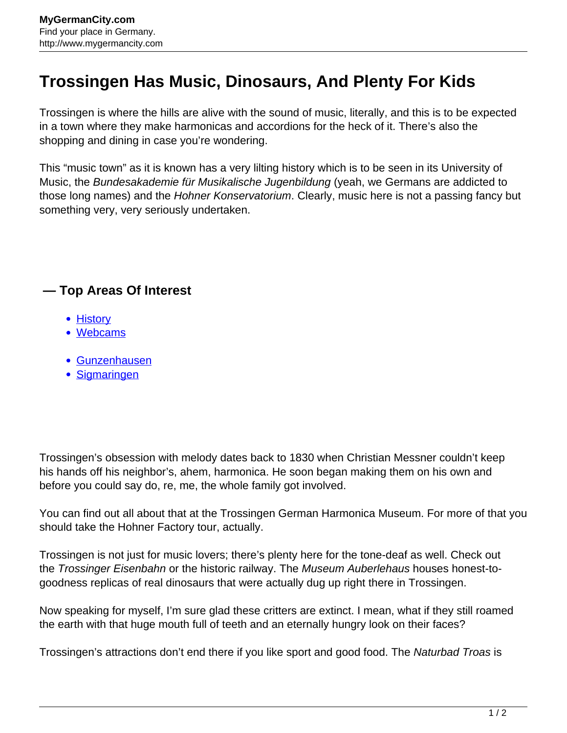## **Trossingen Has Music, Dinosaurs, And Plenty For Kids**

Trossingen is where the hills are alive with the sound of music, literally, and this is to be expected in a town where they make harmonicas and accordions for the heck of it. There's also the shopping and dining in case you're wondering.

This "music town" as it is known has a very lilting history which is to be seen in its University of Music, the Bundesakademie für Musikalische Jugenbildung (yeah, we Germans are addicted to those long names) and the Hohner Konservatorium. Clearly, music here is not a passing fancy but something very, very seriously undertaken.

## **— Top Areas Of Interest**

- **[History](http://www.mygermancity.com/leipzig-history)**
- [Webcams](http://www.mygermancity.com/neustadt-holstein-webcams)
- [Gunzenhausen](http://www.mygermancity.com/gunzenhausen)
- [Sigmaringen](http://www.mygermancity.com/sigmaringen)

Trossingen's obsession with melody dates back to 1830 when Christian Messner couldn't keep his hands off his neighbor's, ahem, harmonica. He soon began making them on his own and before you could say do, re, me, the whole family got involved.

You can find out all about that at the Trossingen German Harmonica Museum. For more of that you should take the Hohner Factory tour, actually.

Trossingen is not just for music lovers; there's plenty here for the tone-deaf as well. Check out the Trossinger Eisenbahn or the historic railway. The Museum Auberlehaus houses honest-togoodness replicas of real dinosaurs that were actually dug up right there in Trossingen.

Now speaking for myself, I'm sure glad these critters are extinct. I mean, what if they still roamed the earth with that huge mouth full of teeth and an eternally hungry look on their faces?

Trossingen's attractions don't end there if you like sport and good food. The Naturbad Troas is